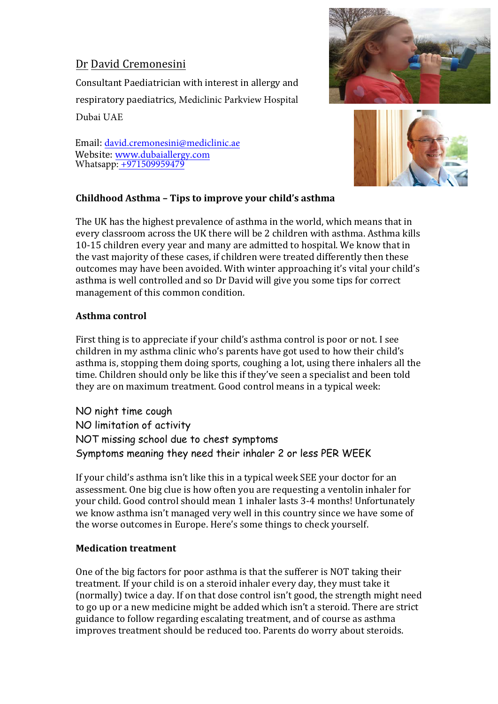# Dr David Cremonesini

Consultant Paediatrician with interest in allergy and respiratory paediatrics, Mediclinic Parkview Hospital Dubai UAE

Email: david.cremonesini@mediclinic.ae Website: www.dubaiallergy.com Whatsapp: +971509959479





### **Childhood Asthma - Tips to improve your child's asthma**

The UK has the highest prevalence of asthma in the world, which means that in every classroom across the UK there will be 2 children with asthma. Asthma kills 10-15 children every year and many are admitted to hospital. We know that in the vast majority of these cases, if children were treated differently then these outcomes may have been avoided. With winter approaching it's vital your child's asthma is well controlled and so Dr David will give you some tips for correct management of this common condition.

#### **Asthma control**

First thing is to appreciate if your child's asthma control is poor or not. I see children in my asthma clinic who's parents have got used to how their child's asthma is, stopping them doing sports, coughing a lot, using there inhalers all the time. Children should only be like this if they've seen a specialist and been told they are on maximum treatment. Good control means in a typical week:

NO night time cough NO limitation of activity NOT missing school due to chest symptoms Symptoms meaning they need their inhaler 2 or less PER WEEK

If your child's asthma isn't like this in a typical week SEE your doctor for an assessment. One big clue is how often you are requesting a ventolin inhaler for your child. Good control should mean 1 inhaler lasts 3-4 months! Unfortunately we know asthma isn't managed very well in this country since we have some of the worse outcomes in Europe. Here's some things to check yourself.

#### **Medication treatment**

One of the big factors for poor asthma is that the sufferer is NOT taking their treatment. If your child is on a steroid inhaler every day, they must take it (normally) twice a day. If on that dose control isn't good, the strength might need to go up or a new medicine might be added which isn't a steroid. There are strict guidance to follow regarding escalating treatment, and of course as asthma improves treatment should be reduced too. Parents do worry about steroids.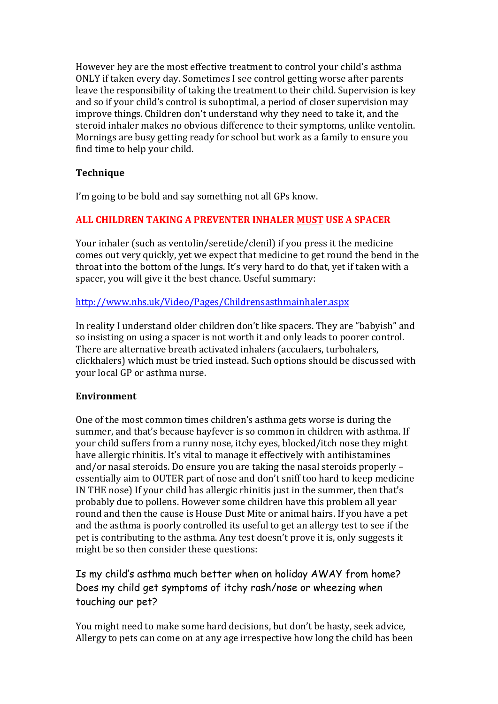However hey are the most effective treatment to control your child's asthma ONLY if taken every day. Sometimes I see control getting worse after parents leave the responsibility of taking the treatment to their child. Supervision is key and so if your child's control is suboptimal, a period of closer supervision may improve things. Children don't understand why they need to take it, and the steroid inhaler makes no obvious difference to their symptoms, unlike ventolin. Mornings are busy getting ready for school but work as a family to ensure you find time to help your child.

#### **Technique**

I'm going to be bold and say something not all GPs know.

#### **ALL CHILDREN TAKING A PREVENTER INHALER MUST USE A SPACER**

Your inhaler (such as ventolin/seretide/clenil) if you press it the medicine comes out very quickly, yet we expect that medicine to get round the bend in the throat into the bottom of the lungs. It's very hard to do that, yet if taken with a spacer, you will give it the best chance. Useful summary:

#### http://www.nhs.uk/Video/Pages/Childrensasthmainhaler.aspx

In reality I understand older children don't like spacers. They are "babyish" and so insisting on using a spacer is not worth it and only leads to poorer control. There are alternative breath activated inhalers (acculaers, turbohalers, clickhalers) which must be tried instead. Such options should be discussed with your local GP or asthma nurse.

#### **Environment**

One of the most common times children's asthma gets worse is during the summer, and that's because hayfever is so common in children with asthma. If your child suffers from a runny nose, itchy eyes, blocked/itch nose they might have allergic rhinitis. It's vital to manage it effectively with antihistamines and/or nasal steroids. Do ensure you are taking the nasal steroids properly  $$ essentially aim to OUTER part of nose and don't sniff too hard to keep medicine IN THE nose) If your child has allergic rhinitis just in the summer, then that's probably due to pollens. However some children have this problem all year round and then the cause is House Dust Mite or animal hairs. If you have a pet and the asthma is poorly controlled its useful to get an allergy test to see if the pet is contributing to the asthma. Any test doesn't prove it is, only suggests it might be so then consider these questions:

## Is my child's asthma much better when on holiday AWAY from home? Does my child get symptoms of itchy rash/nose or wheezing when touching our pet?

You might need to make some hard decisions, but don't be hasty, seek advice, Allergy to pets can come on at any age irrespective how long the child has been